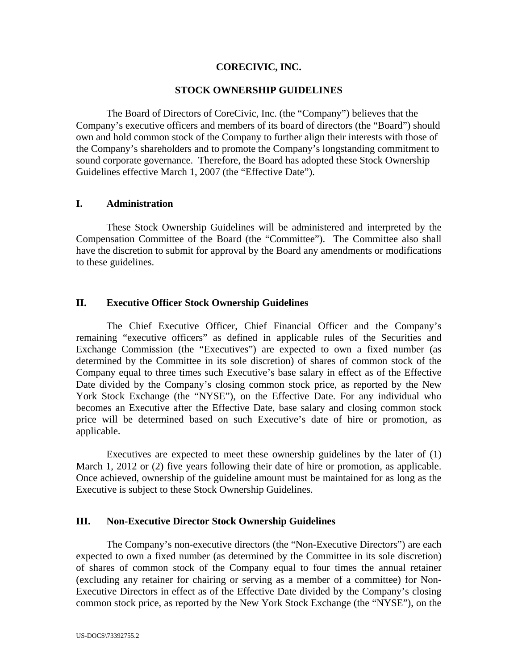# **CORECIVIC, INC.**

#### **STOCK OWNERSHIP GUIDELINES**

The Board of Directors of CoreCivic, Inc. (the "Company") believes that the Company's executive officers and members of its board of directors (the "Board") should own and hold common stock of the Company to further align their interests with those of the Company's shareholders and to promote the Company's longstanding commitment to sound corporate governance. Therefore, the Board has adopted these Stock Ownership Guidelines effective March 1, 2007 (the "Effective Date").

#### **I. Administration**

These Stock Ownership Guidelines will be administered and interpreted by the Compensation Committee of the Board (the "Committee"). The Committee also shall have the discretion to submit for approval by the Board any amendments or modifications to these guidelines.

## **II. Executive Officer Stock Ownership Guidelines**

The Chief Executive Officer, Chief Financial Officer and the Company's remaining "executive officers" as defined in applicable rules of the Securities and Exchange Commission (the "Executives") are expected to own a fixed number (as determined by the Committee in its sole discretion) of shares of common stock of the Company equal to three times such Executive's base salary in effect as of the Effective Date divided by the Company's closing common stock price, as reported by the New York Stock Exchange (the "NYSE"), on the Effective Date. For any individual who becomes an Executive after the Effective Date, base salary and closing common stock price will be determined based on such Executive's date of hire or promotion, as applicable.

Executives are expected to meet these ownership guidelines by the later of (1) March 1, 2012 or (2) five years following their date of hire or promotion, as applicable. Once achieved, ownership of the guideline amount must be maintained for as long as the Executive is subject to these Stock Ownership Guidelines.

# **III. Non-Executive Director Stock Ownership Guidelines**

The Company's non-executive directors (the "Non-Executive Directors") are each expected to own a fixed number (as determined by the Committee in its sole discretion) of shares of common stock of the Company equal to four times the annual retainer (excluding any retainer for chairing or serving as a member of a committee) for Non-Executive Directors in effect as of the Effective Date divided by the Company's closing common stock price, as reported by the New York Stock Exchange (the "NYSE"), on the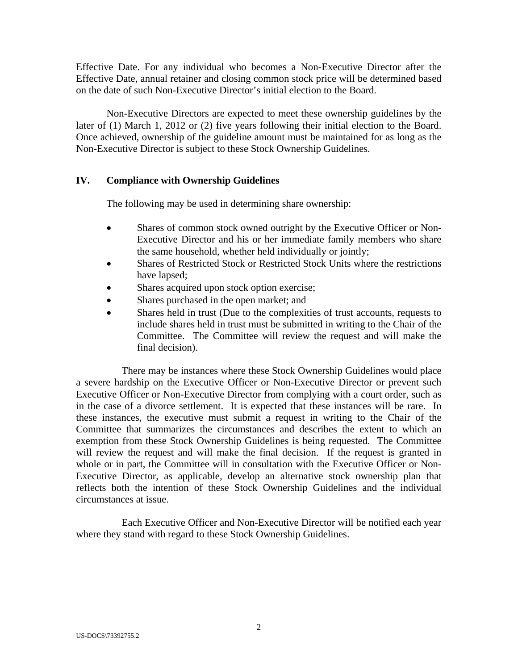Effective Date. For any individual who becomes a Non-Executive Director after the Effective Date, annual retainer and closing common stock price will be determined based on the date of such Non-Executive Director's initial election to the Board.

Non-Executive Directors are expected to meet these ownership guidelines by the later of (1) March 1, 2012 or (2) five years following their initial election to the Board. Once achieved, ownership of the guideline amount must be maintained for as long as the Non-Executive Director is subject to these Stock Ownership Guidelines.

## **IV. Compliance with Ownership Guidelines**

The following may be used in determining share ownership:

- Shares of common stock owned outright by the Executive Officer or Non-Executive Director and his or her immediate family members who share the same household, whether held individually or jointly;
- Shares of Restricted Stock or Restricted Stock Units where the restrictions have lapsed;
- Shares acquired upon stock option exercise;
- Shares purchased in the open market; and
- Shares held in trust (Due to the complexities of trust accounts, requests to include shares held in trust must be submitted in writing to the Chair of the Committee. The Committee will review the request and will make the final decision).

There may be instances where these Stock Ownership Guidelines would place a severe hardship on the Executive Officer or Non-Executive Director or prevent such Executive Officer or Non-Executive Director from complying with a court order, such as in the case of a divorce settlement. It is expected that these instances will be rare. In these instances, the executive must submit a request in writing to the Chair of the Committee that summarizes the circumstances and describes the extent to which an exemption from these Stock Ownership Guidelines is being requested. The Committee will review the request and will make the final decision. If the request is granted in whole or in part, the Committee will in consultation with the Executive Officer or Non-Executive Director, as applicable, develop an alternative stock ownership plan that reflects both the intention of these Stock Ownership Guidelines and the individual circumstances at issue.

Each Executive Officer and Non-Executive Director will be notified each year where they stand with regard to these Stock Ownership Guidelines.